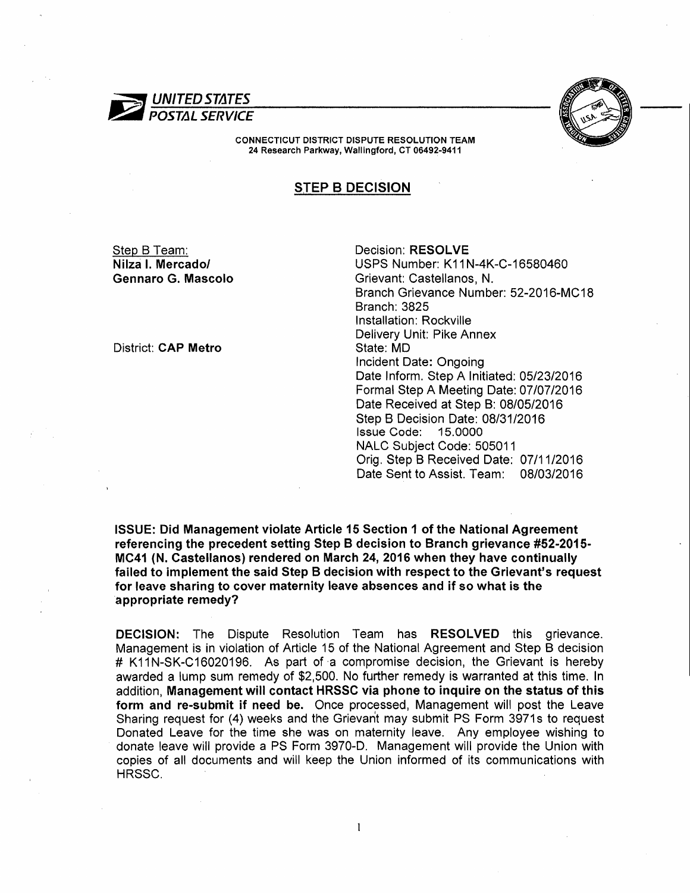



CONNECTICUT DISTRICT DISPUTE RESOLUTION TEAM 24 Research Parkway, Wallingford, CT 06492-9411

## STEP B DECISION

Step B Team: Nilza I. Mercadol Gennaro G. Mascolo

District: CAP Metro

Decision: RESOLVE USPS Number: K11 N-4K-C-16580460 Grievant: Castellanos, N. Branch Grievance Number: 52-2016-MC18 Branch: 3825 Installation: Rockville Delivery Unit: Pike Annex State: MD Incident Date: Ongoing Date Inform. Step A Initiated: OS/23/2016 Formal Step A Meeting Date: 07/07/2016 Date Received at Step B: 08/05/2016 Step B Decision Date: 08/31/2016<br>Issue Code: 15.0000 **Issue Code:** NALC Subject Code: 505011 Orig. Step B Received Date: 07/11/2016 Date Sent to Assist. Team: 08/03/2016

ISSUE: Did Management violate Article 15 Section 1 of the National Agreement referencing the precedent setting Step B decision to Branch grievance #52-2015 MC41 (N. Castellanos) rendered on March 24, 2016 when they have continually failed to implement the said Step B decision with respect to the Grievant's request for leave sharing to cover maternity leave absences and if so what is the appropriate remedy?

DECISION: The Dispute Resolution Team has RESOLVED this grievance. Management is in violation of Article 15 of the National Agreement and Step B decision # K11N-SK-C16020196. As part of a compromise decision, the Grievant is hereby awarded a lump sum remedy of \$2,500. No further remedy is warranted at this time. In addition, Management will contact HRSSC via phone to inquire on the status of this form and re-submit if need be. Once processed, Management will post the Leave Sharing request for (4) weeks and the Grievant may submit PS Form 3971s to request Donated Leave for the time she was on maternity leave. Any employee wishing to donate leave will provide a PS Form 3970-D. Management will provide the Union with copies of all documents and will keep the Union informed of its communications with HRSSC.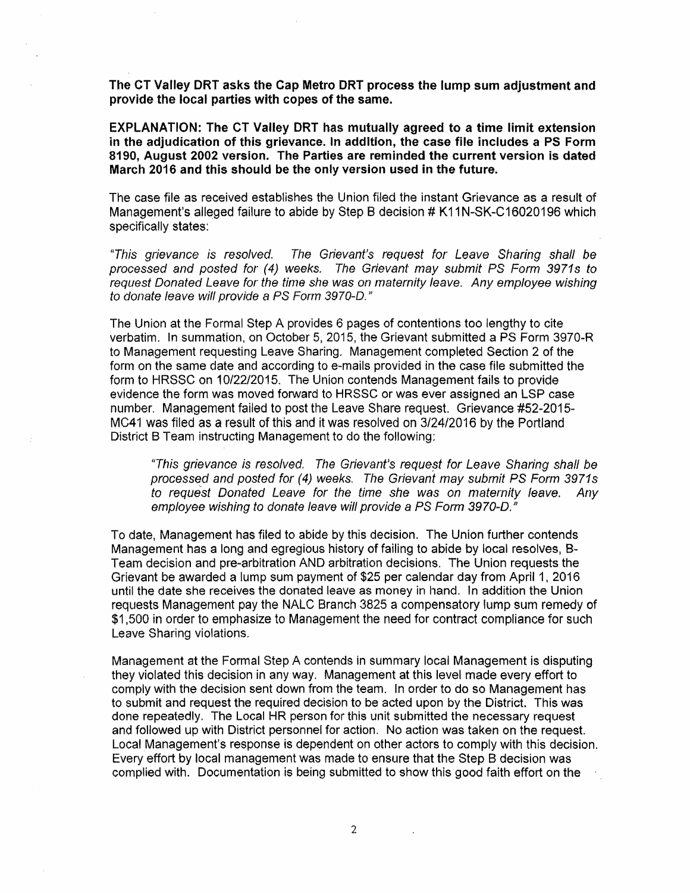The CT Valley ORT asks the Cap Metro ORT process the lump sum adjustment and provide the local parties with copes of the same.

EXPLANATION: The CT Valley ORT has mutually agreed to a time limit extension in the adjudication of this grievance. In addition, the case file includes a PS Form 8190, August 2002 version. The Parties are reminded the current version is dated March 2016 and this should be the only version used in the future.

The case file as received establishes the Union filed the instant Grievance as a result of Management's alleged failure to abide by Step B decision # K11N-SK-C16020196 which specifically states:

"This grievance is resolved. The Grievant's request for Leave Sharing shall be processed and posted for (4) weeks. The Grievant may submit PS Form 3971s to request Donated Leave for the time she was on maternity leave. Any employee wishing to donate leave will provide a PS Form 3970-D.<sup>"</sup>

The Union at the Formal Step A provides 6 pages of contentions too lengthy to cite verbatim. In summation, on October 5, 2015, the Grievant submitted a PS Form 3970-R to Management requesting Leave Sharing. Management completed Section 2 of the form on the same date and according to e-mails provided in the case file submitted the form to HRSSC on 10/22/2015. The Union contends Management fails to provide evidence the form was moved forward to HRSSC or was ever assigned an LSP case number. Management failed to post the Leave Share request. Grievance #52-2015 MC41 was filed as a result of this and it was resolved on 3/24/2016 by the Portland District B Team instructing Management to do the following:

"This grievance is resolved. The Grievant's request for Leave Sharing shall be processed and posted for (4) weeks. The Grievant may submit PS Form 3971s to request Donated Leave for the time she was on maternity leave. Any employee wishing to donate leave will provide a PS Form 3970-D."

To date, Management has filed to abide by this decision. The Union further contends Management has a long and egregious history of failing to abide by local resolves, 8 Team decision and pre-arbitration AND arbitration decisions. The Union requests the Grievant be awarded a lump sum payment of \$25 per calendar day from April 1, 2016 until the date she receives the donated leave as money in hand. In addition the Union requests Management pay the NALC Branch 3825 a compensatory lump sum remedy of \$1,500 in order to emphasize to Management the need for contract compliance for such Leave Sharing violations.

Management at the Formal Step A contends in summary local Management is disputing they violated this decision in any way. Management at this level made every effort to comply with the decision sent down from the team. In order to do so Management has to submit and request the required decision to be acted upon by the District. This was done repeatedly. The Local HR person for this unit submitted the necessary request and followed up with District personnel for action. No action was taken on the request. Local Management's response is dependent on other actors to comply with this decision. Every effort by local management was made to ensure that the Step B decision was complied with. Documentation is being submitted to show this good faith effort on the